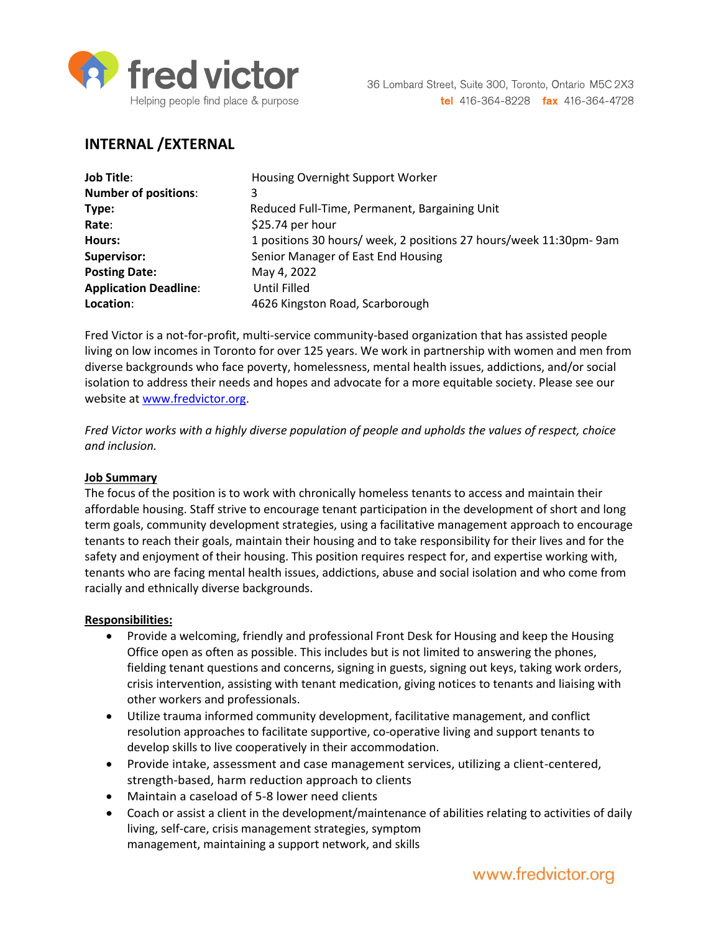

# **INTERNAL /EXTERNAL**

| <b>Job Title:</b>            | Housing Overnight Support Worker                                  |
|------------------------------|-------------------------------------------------------------------|
| <b>Number of positions:</b>  | 3                                                                 |
| Type:                        | Reduced Full-Time, Permanent, Bargaining Unit                     |
| Rate:                        | \$25.74 per hour                                                  |
| Hours:                       | 1 positions 30 hours/ week, 2 positions 27 hours/week 11:30pm-9am |
| Supervisor:                  | Senior Manager of East End Housing                                |
| <b>Posting Date:</b>         | May 4, 2022                                                       |
| <b>Application Deadline:</b> | Until Filled                                                      |
| Location:                    | 4626 Kingston Road, Scarborough                                   |

Fred Victor is a not-for-profit, multi-service community-based organization that has assisted people living on low incomes in Toronto for over 125 years. We work in partnership with women and men from diverse backgrounds who face poverty, homelessness, mental health issues, addictions, and/or social isolation to address their needs and hopes and advocate for a more equitable society. Please see our website at [www.fredvictor.org.](http://www.fredvictor.org/)

*Fred Victor works with a highly diverse population of people and upholds the values of respect, choice and inclusion.*

### **Job Summary**

The focus of the position is to work with chronically homeless tenants to access and maintain their affordable housing. Staff strive to encourage tenant participation in the development of short and long term goals, community development strategies, using a facilitative management approach to encourage tenants to reach their goals, maintain their housing and to take responsibility for their lives and for the safety and enjoyment of their housing. This position requires respect for, and expertise working with, tenants who are facing mental health issues, addictions, abuse and social isolation and who come from racially and ethnically diverse backgrounds.

### **Responsibilities:**

- Provide a welcoming, friendly and professional Front Desk for Housing and keep the Housing Office open as often as possible. This includes but is not limited to answering the phones, fielding tenant questions and concerns, signing in guests, signing out keys, taking work orders, crisis intervention, assisting with tenant medication, giving notices to tenants and liaising with other workers and professionals.
- Utilize trauma informed community development, facilitative management, and conflict resolution approaches to facilitate supportive, co-operative living and support tenants to develop skills to live cooperatively in their accommodation.
- Provide intake, assessment and case management services, utilizing a client-centered, strength-based, harm reduction approach to clients
- Maintain a caseload of 5-8 lower need clients
- Coach or assist a client in the development/maintenance of abilities relating to activities of daily living, self-care, crisis management strategies, symptom management, maintaining a support network, and skills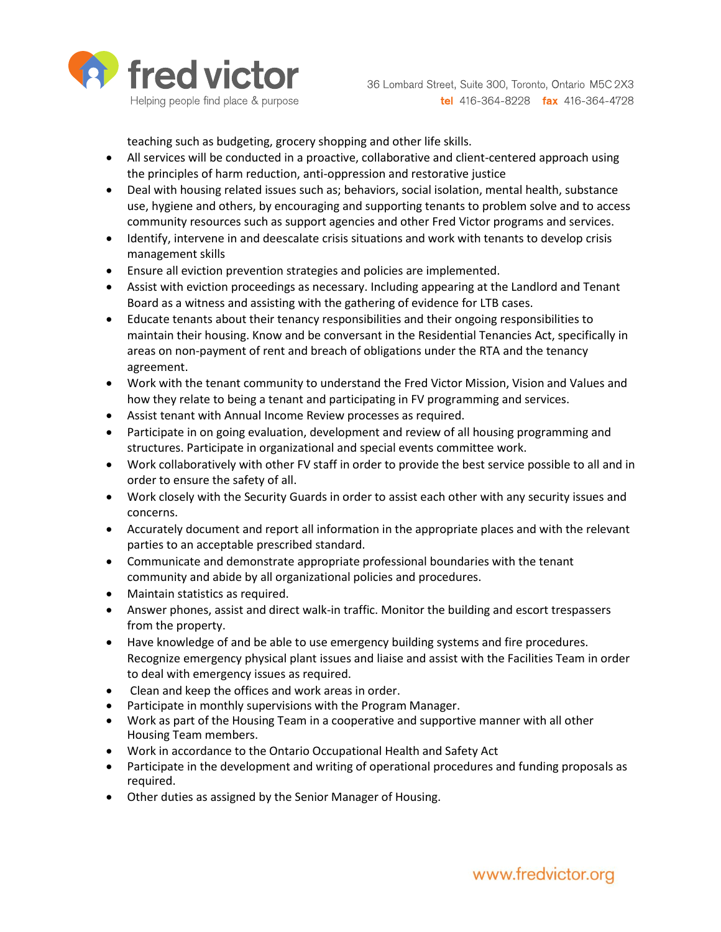

teaching such as budgeting, grocery shopping and other life skills.

- All services will be conducted in a proactive, collaborative and client-centered approach using the principles of harm reduction, anti-oppression and restorative justice
- Deal with housing related issues such as; behaviors, social isolation, mental health, substance use, hygiene and others, by encouraging and supporting tenants to problem solve and to access community resources such as support agencies and other Fred Victor programs and services.
- Identify, intervene in and deescalate crisis situations and work with tenants to develop crisis management skills
- Ensure all eviction prevention strategies and policies are implemented.
- Assist with eviction proceedings as necessary. Including appearing at the Landlord and Tenant Board as a witness and assisting with the gathering of evidence for LTB cases.
- Educate tenants about their tenancy responsibilities and their ongoing responsibilities to maintain their housing. Know and be conversant in the Residential Tenancies Act, specifically in areas on non-payment of rent and breach of obligations under the RTA and the tenancy agreement.
- Work with the tenant community to understand the Fred Victor Mission, Vision and Values and how they relate to being a tenant and participating in FV programming and services.
- Assist tenant with Annual Income Review processes as required.
- Participate in on going evaluation, development and review of all housing programming and structures. Participate in organizational and special events committee work.
- Work collaboratively with other FV staff in order to provide the best service possible to all and in order to ensure the safety of all.
- Work closely with the Security Guards in order to assist each other with any security issues and concerns.
- Accurately document and report all information in the appropriate places and with the relevant parties to an acceptable prescribed standard.
- Communicate and demonstrate appropriate professional boundaries with the tenant community and abide by all organizational policies and procedures.
- Maintain statistics as required.
- Answer phones, assist and direct walk-in traffic. Monitor the building and escort trespassers from the property.
- Have knowledge of and be able to use emergency building systems and fire procedures. Recognize emergency physical plant issues and liaise and assist with the Facilities Team in order to deal with emergency issues as required.
- Clean and keep the offices and work areas in order.
- Participate in monthly supervisions with the Program Manager.
- Work as part of the Housing Team in a cooperative and supportive manner with all other Housing Team members.
- Work in accordance to the Ontario Occupational Health and Safety Act
- Participate in the development and writing of operational procedures and funding proposals as required.
- Other duties as assigned by the Senior Manager of Housing.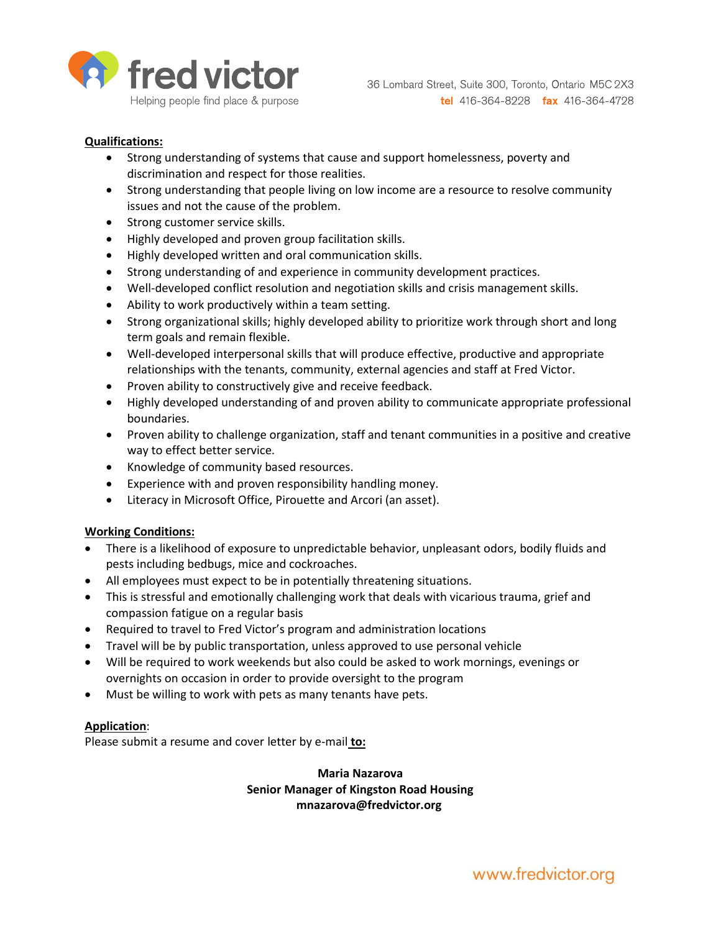

### **Qualifications:**

- Strong understanding of systems that cause and support homelessness, poverty and discrimination and respect for those realities.
- Strong understanding that people living on low income are a resource to resolve community issues and not the cause of the problem.
- Strong customer service skills.
- Highly developed and proven group facilitation skills.
- Highly developed written and oral communication skills.
- Strong understanding of and experience in community development practices.
- Well-developed conflict resolution and negotiation skills and crisis management skills.
- Ability to work productively within a team setting.
- Strong organizational skills; highly developed ability to prioritize work through short and long term goals and remain flexible.
- Well-developed interpersonal skills that will produce effective, productive and appropriate relationships with the tenants, community, external agencies and staff at Fred Victor.
- Proven ability to constructively give and receive feedback.
- Highly developed understanding of and proven ability to communicate appropriate professional boundaries.
- Proven ability to challenge organization, staff and tenant communities in a positive and creative way to effect better service.
- Knowledge of community based resources.
- Experience with and proven responsibility handling money.
- Literacy in Microsoft Office, Pirouette and Arcori (an asset).

#### **Working Conditions:**

- There is a likelihood of exposure to unpredictable behavior, unpleasant odors, bodily fluids and pests including bedbugs, mice and cockroaches.
- All employees must expect to be in potentially threatening situations.
- This is stressful and emotionally challenging work that deals with vicarious trauma, grief and compassion fatigue on a regular basis
- Required to travel to Fred Victor's program and administration locations
- Travel will be by public transportation, unless approved to use personal vehicle
- Will be required to work weekends but also could be asked to work mornings, evenings or overnights on occasion in order to provide oversight to the program
- Must be willing to work with pets as many tenants have pets.

#### **Application**:

Please submit a resume and cover letter by e-mail **to:**

# **Maria Nazarova Senior Manager of Kingston Road Housing mnazarova@fredvictor.org**

www.fredvictor.org